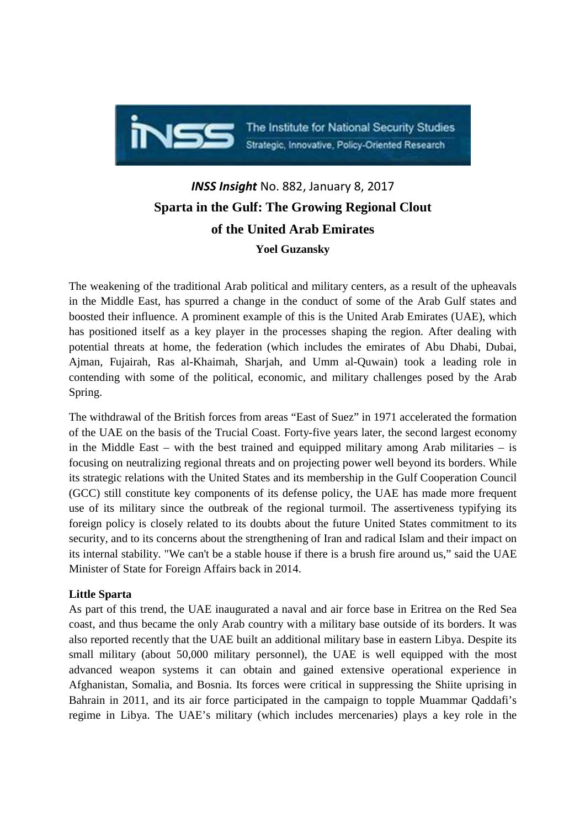

The Institute for National Security Studies Strategic, Innovative, Policy-Oriented Research

# *INSS Insight* No. 882, January 8, 2017 **Sparta in the Gulf: The Growing Regional Clout of the United Arab Emirates Yoel Guzansky**

The weakening of the traditional Arab political and military centers, as a result of the upheavals in the Middle East, has spurred a change in the conduct of some of the Arab Gulf states and boosted their influence. A prominent example of this is the United Arab Emirates (UAE), which has positioned itself as a key player in the processes shaping the region. After dealing with potential threats at home, the federation (which includes the emirates of Abu Dhabi, Dubai, Ajman, Fujairah, Ras al-Khaimah, Sharjah, and Umm al-Quwain) took a leading role in contending with some of the political, economic, and military challenges posed by the Arab Spring.

The withdrawal of the British forces from areas "East of Suez" in 1971 accelerated the formation of the UAE on the basis of the Trucial Coast. Forty-five years later, the second largest economy in the Middle East – with the best trained and equipped military among Arab militaries – is focusing on neutralizing regional threats and on projecting power well beyond its borders. While its strategic relations with the United States and its membership in the Gulf Cooperation Council (GCC) still constitute key components of its defense policy, the UAE has made more frequent use of its military since the outbreak of the regional turmoil. The assertiveness typifying its foreign policy is closely related to its doubts about the future United States commitment to its security, and to its concerns about the strengthening of Iran and radical Islam and their impact on its internal stability. "We can't be a stable house if there is a brush fire around us," said the UAE Minister of State for Foreign Affairs back in 2014.

## **Little Sparta**

As part of this trend, the UAE inaugurated a naval and air force base in Eritrea on the Red Sea coast, and thus became the only Arab country with a military base outside of its borders. It was also reported recently that the UAE built an additional military base in eastern Libya. Despite its small military (about 50,000 military personnel), the UAE is well equipped with the most advanced weapon systems it can obtain and gained extensive operational experience in Afghanistan, Somalia, and Bosnia. Its forces were critical in suppressing the Shiite uprising in Bahrain in 2011, and its air force participated in the campaign to topple Muammar Qaddafi's regime in Libya. The UAE's military (which includes mercenaries) plays a key role in the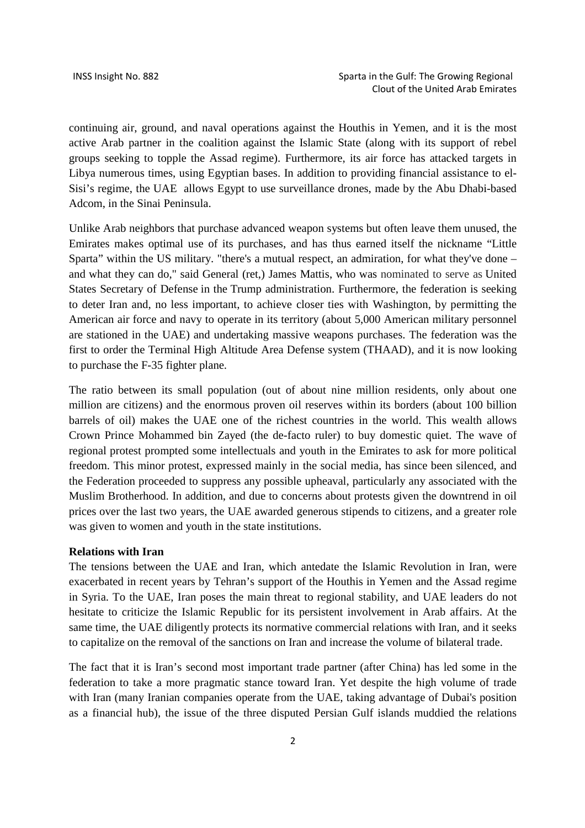continuing air, ground, and naval operations against the Houthis in Yemen, and it is the most active Arab partner in the coalition against the Islamic State (along with its support of rebel groups seeking to topple the Assad regime). Furthermore, its air force has attacked targets in Libya numerous times, using Egyptian bases. In addition to providing financial assistance to el-Sisi's regime, the UAE allows Egypt to use surveillance drones, made by the Abu Dhabi-based Adcom, in the Sinai Peninsula.

Unlike Arab neighbors that purchase advanced weapon systems but often leave them unused, the Emirates makes optimal use of its purchases, and has thus earned itself the nickname "Little Sparta" within the US military. "there's a mutual respect, an admiration, for what they've done – and what they can do," said General (ret,) James Mattis, who was nominated to serve as United States Secretary of Defense in the Trump administration. Furthermore, the federation is seeking to deter Iran and, no less important, to achieve closer ties with Washington, by permitting the American air force and navy to operate in its territory (about 5,000 American military personnel are stationed in the UAE) and undertaking massive weapons purchases. The federation was the first to order the Terminal High Altitude Area Defense system (THAAD), and it is now looking to purchase the F-35 fighter plane.

The ratio between its small population (out of about nine million residents, only about one million are citizens) and the enormous proven oil reserves within its borders (about 100 billion barrels of oil) makes the UAE one of the richest countries in the world. This wealth allows Crown Prince Mohammed bin Zayed (the de-facto ruler) to buy domestic quiet. The wave of regional protest prompted some intellectuals and youth in the Emirates to ask for more political freedom. This minor protest, expressed mainly in the social media, has since been silenced, and the Federation proceeded to suppress any possible upheaval, particularly any associated with the Muslim Brotherhood. In addition, and due to concerns about protests given the downtrend in oil prices over the last two years, the UAE awarded generous stipends to citizens, and a greater role was given to women and youth in the state institutions.

#### **Relations with Iran**

The tensions between the UAE and Iran, which antedate the Islamic Revolution in Iran, were exacerbated in recent years by Tehran's support of the Houthis in Yemen and the Assad regime in Syria. To the UAE, Iran poses the main threat to regional stability, and UAE leaders do not hesitate to criticize the Islamic Republic for its persistent involvement in Arab affairs. At the same time, the UAE diligently protects its normative commercial relations with Iran, and it seeks to capitalize on the removal of the sanctions on Iran and increase the volume of bilateral trade.

The fact that it is Iran's second most important trade partner (after China) has led some in the federation to take a more pragmatic stance toward Iran. Yet despite the high volume of trade with Iran (many Iranian companies operate from the UAE, taking advantage of Dubai's position as a financial hub), the issue of the three disputed Persian Gulf islands muddied the relations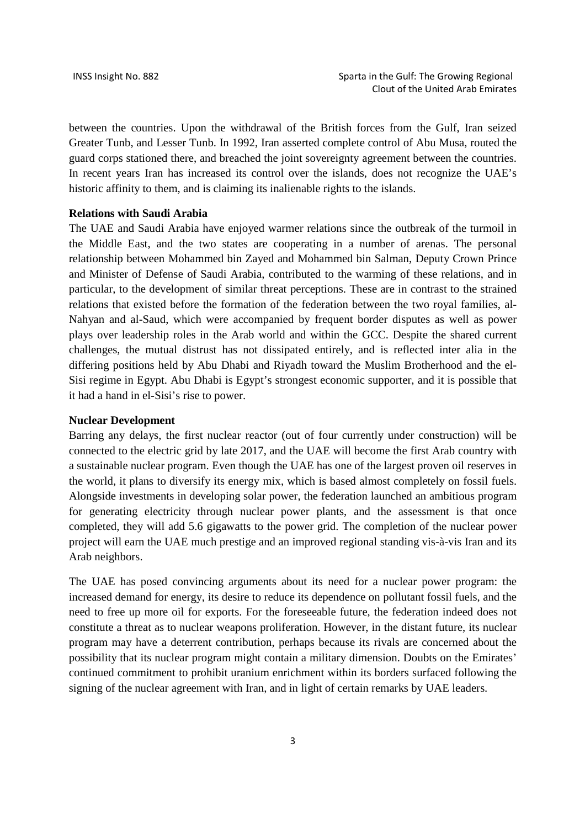between the countries. Upon the withdrawal of the British forces from the Gulf, Iran seized Greater Tunb, and Lesser Tunb. In 1992, Iran asserted complete control of Abu Musa, routed the guard corps stationed there, and breached the joint sovereignty agreement between the countries. In recent years Iran has increased its control over the islands, does not recognize the UAE's historic affinity to them, and is claiming its inalienable rights to the islands.

### **Relations with Saudi Arabia**

The UAE and Saudi Arabia have enjoyed warmer relations since the outbreak of the turmoil in the Middle East, and the two states are cooperating in a number of arenas. The personal relationship between Mohammed bin Zayed and Mohammed bin Salman, Deputy Crown Prince and Minister of Defense of Saudi Arabia, contributed to the warming of these relations, and in particular, to the development of similar threat perceptions. These are in contrast to the strained relations that existed before the formation of the federation between the two royal families, al-Nahyan and al-Saud, which were accompanied by frequent border disputes as well as power plays over leadership roles in the Arab world and within the GCC. Despite the shared current challenges, the mutual distrust has not dissipated entirely, and is reflected inter alia in the differing positions held by Abu Dhabi and Riyadh toward the Muslim Brotherhood and the el-Sisi regime in Egypt. Abu Dhabi is Egypt's strongest economic supporter, and it is possible that it had a hand in el-Sisi's rise to power.

#### **Nuclear Development**

Barring any delays, the first nuclear reactor (out of four currently under construction) will be connected to the electric grid by late 2017, and the UAE will become the first Arab country with a sustainable nuclear program. Even though the UAE has one of the largest proven oil reserves in the world, it plans to diversify its energy mix, which is based almost completely on fossil fuels. Alongside investments in developing solar power, the federation launched an ambitious program for generating electricity through nuclear power plants, and the assessment is that once completed, they will add 5.6 gigawatts to the power grid. The completion of the nuclear power project will earn the UAE much prestige and an improved regional standing vis-à-vis Iran and its Arab neighbors.

The UAE has posed convincing arguments about its need for a nuclear power program: the increased demand for energy, its desire to reduce its dependence on pollutant fossil fuels, and the need to free up more oil for exports. For the foreseeable future, the federation indeed does not constitute a threat as to nuclear weapons proliferation. However, in the distant future, its nuclear program may have a deterrent contribution, perhaps because its rivals are concerned about the possibility that its nuclear program might contain a military dimension. Doubts on the Emirates' continued commitment to prohibit uranium enrichment within its borders surfaced following the signing of the nuclear agreement with Iran, and in light of certain remarks by UAE leaders.